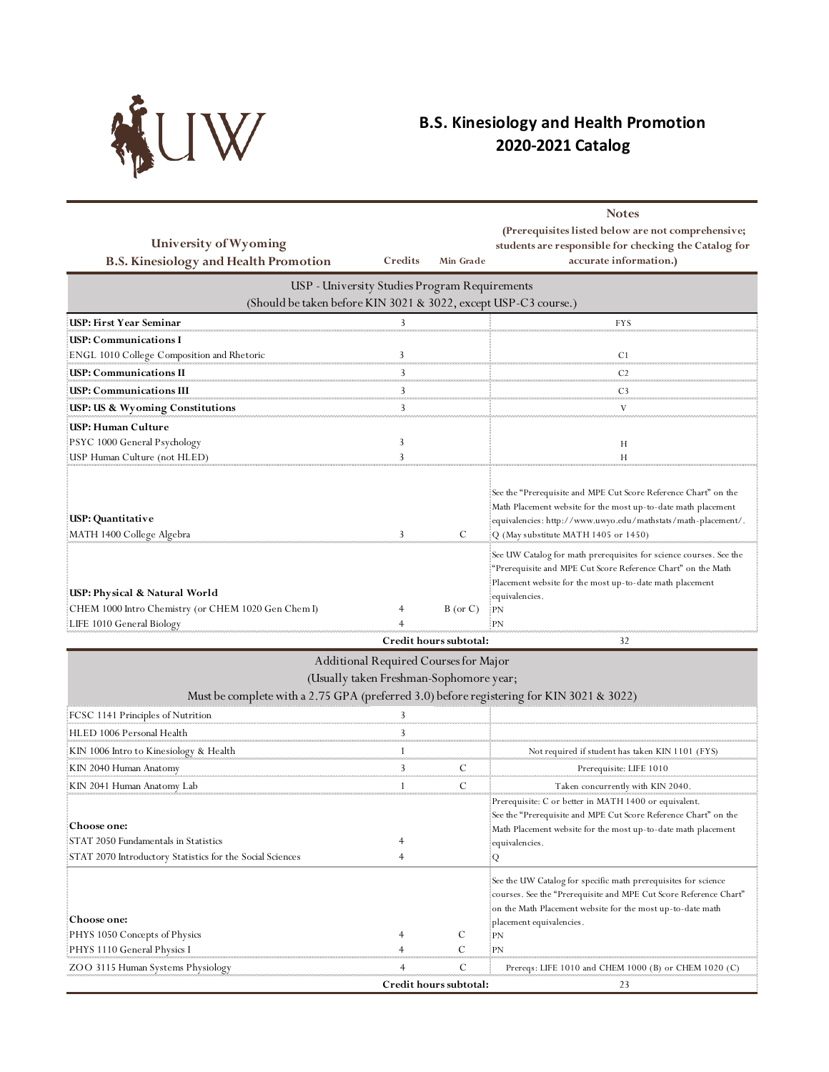

## **B.S. Kinesiology and Health Promotion 2020-2021 Catalog**

|                                                                                                                  |                     |                             | <b>Notes</b>                                                       |
|------------------------------------------------------------------------------------------------------------------|---------------------|-----------------------------|--------------------------------------------------------------------|
|                                                                                                                  |                     |                             | (Prerequisites listed below are not comprehensive;                 |
| University of Wyoming                                                                                            |                     |                             | students are responsible for checking the Catalog for              |
| <b>B.S. Kinesiology and Health Promotion</b>                                                                     | Credits             | Min Grade                   | accurate information.)                                             |
| USP - University Studies Program Requirements<br>(Should be taken before KIN 3021 & 3022, except USP-C3 course.) |                     |                             |                                                                    |
| USP: First Year Seminar                                                                                          | 3                   |                             | <b>FYS</b>                                                         |
| USP: Communications I                                                                                            |                     |                             |                                                                    |
| ENGL 1010 College Composition and Rhetoric                                                                       | 3                   |                             | C <sub>1</sub>                                                     |
| <b>USP: Communications II</b>                                                                                    | 3                   |                             | C <sub>2</sub>                                                     |
| USP: Communications III                                                                                          | 3                   |                             | C <sub>3</sub>                                                     |
| USP: US & Wyoming Constitutions                                                                                  | 3                   |                             | V                                                                  |
| USP: Human Culture                                                                                               |                     |                             |                                                                    |
| PSYC 1000 General Psychology                                                                                     | 3                   |                             | Н                                                                  |
| USP Human Culture (not HLED)                                                                                     | 3                   |                             | H                                                                  |
|                                                                                                                  |                     |                             |                                                                    |
|                                                                                                                  |                     |                             | See the "Prerequisite and MPE Cut Score Reference Chart" on the    |
|                                                                                                                  |                     |                             | Math Placement website for the most up-to-date math placement      |
| USP: Quantitative                                                                                                |                     |                             | .equivalencies: http://www.uwyo.edu/mathstats/math-placement/.     |
| MATH 1400 College Algebra                                                                                        | 3                   | C                           | Q (May substitute MATH 1405 or 1450)                               |
|                                                                                                                  |                     |                             | See UW Catalog for math prerequisites for science courses. See the |
|                                                                                                                  |                     |                             | "Prerequisite and MPE Cut Score Reference Chart" on the Math       |
| USP: Physical & Natural World                                                                                    |                     |                             | Placement website for the most up-to-date math placement:          |
| CHEM 1000 Intro Chemistry (or CHEM 1020 Gen Chem I)                                                              |                     | $B$ (or C)                  | equivalencies.<br>$E_{\rm PN}$                                     |
| LIFE 1010 General Biology                                                                                        |                     |                             |                                                                    |
|                                                                                                                  |                     | Credit hours subtotal:      | 32                                                                 |
| Additional Required Courses for Major                                                                            |                     |                             |                                                                    |
| (Usually taken Freshman-Sophomore year;                                                                          |                     |                             |                                                                    |
| Must be complete with a 2.75 GPA (preferred 3.0) before registering for KIN 3021 & 3022)                         |                     |                             |                                                                    |
| FCSC 1141 Principles of Nutrition                                                                                | 3                   |                             |                                                                    |
| HLED 1006 Personal Health                                                                                        | 3                   |                             |                                                                    |
| KIN 1006 Intro to Kinesiology & Health                                                                           |                     |                             | Not required if student has taken KIN 1101 (FYS)                   |
| KIN 2040 Human Anatomy                                                                                           | ann<br>3            | C                           | Prerequisite: LIFE 1010                                            |
| KIN 2041 Human Anatomy Lab                                                                                       |                     | C                           | Taken concurrently with KIN 2040                                   |
|                                                                                                                  |                     |                             | Prerequisite: C or better in MATH 1400 or equivalent.              |
|                                                                                                                  |                     |                             | See the "Prerequisite and MPE Cut Score Reference Chart" on the    |
| <b>Choose one:</b>                                                                                               |                     |                             | Math Placement website for the most up-to-date math placement      |
| STAT 2050 Fundamentals in Statistics                                                                             |                     |                             | equivalencies.                                                     |
| STAT 2070 Introductory Statistics for the Social Sciences                                                        | $\overline{4}$      |                             | Q                                                                  |
|                                                                                                                  |                     |                             | See the UW Catalog for specific math prerequisites for science     |
|                                                                                                                  |                     |                             | courses. See the "Prerequisite and MPE Cut Score Reference Chart"  |
|                                                                                                                  |                     |                             | on the Math Placement website for the most up-to-date math         |
| <b>Choose one:</b>                                                                                               |                     |                             | placement equivalencies .                                          |
| PHYS 1050 Concepts of Physics                                                                                    | 4<br>$\overline{4}$ | C<br>C                      | PN<br>PN                                                           |
| PHYS 1110 General Physics I                                                                                      |                     |                             |                                                                    |
|                                                                                                                  |                     |                             |                                                                    |
| ZOO 3115 Human Systems Physiology                                                                                | 4                   | C<br>Credit hours subtotal: | Prereqs: LIFE 1010 and CHEM 1000 (B) or CHEM 1020 (C)<br>23        |